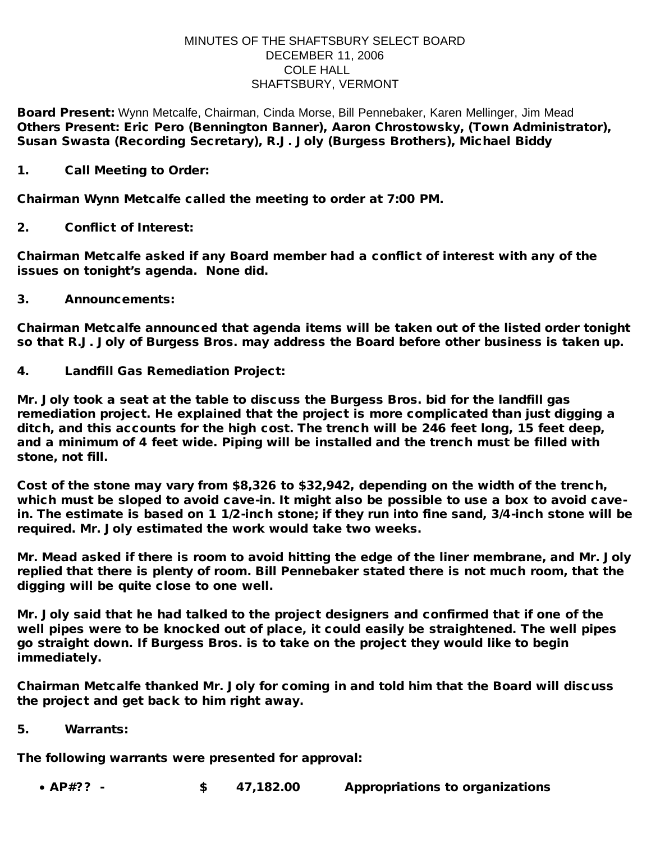## MINUTES OF THE SHAFTSBURY SELECT BOARD DECEMBER 11, 2006 COLE HALL SHAFTSBURY, VERMONT

Board Present: Wynn Metcalfe, Chairman, Cinda Morse, Bill Pennebaker, Karen Mellinger, Jim Mead Others Present: Eric Pero (Bennington Banner), Aaron Chrostowsky, (Town Administrator), Susan Swasta (Recording Secretary), R.J. Joly (Burgess Brothers), Michael Biddy

1. Call Meeting to Order:

Chairman Wynn Metcalfe called the meeting to order at 7:00 PM.

2. Conflict of Interest:

Chairman Metcalfe asked if any Board member had a conflict of interest with any of the issues on tonight's agenda. None did.

3. Announcements:

Chairman Metcalfe announced that agenda items will be taken out of the listed order tonight so that R.J. Joly of Burgess Bros. may address the Board before other business is taken up.

4. Landfill Gas Remediation Project:

Mr. Joly took a seat at the table to discuss the Burgess Bros. bid for the landfill gas remediation project. He explained that the project is more complicated than just digging a ditch, and this accounts for the high cost. The trench will be 246 feet long, 15 feet deep, and a minimum of 4 feet wide. Piping will be installed and the trench must be filled with stone, not fill.

Cost of the stone may vary from \$8,326 to \$32,942, depending on the width of the trench, which must be sloped to avoid cave-in. It might also be possible to use a box to avoid cavein. The estimate is based on 1 1/2-inch stone; if they run into fine sand, 3/4-inch stone will be required. Mr. Joly estimated the work would take two weeks.

Mr. Mead asked if there is room to avoid hitting the edge of the liner membrane, and Mr. Joly replied that there is plenty of room. Bill Pennebaker stated there is not much room, that the digging will be quite close to one well.

Mr. Joly said that he had talked to the project designers and confirmed that if one of the well pipes were to be knocked out of place, it could easily be straightened. The well pipes go straight down. If Burgess Bros. is to take on the project they would like to begin immediately.

Chairman Metcalfe thanked Mr. Joly for coming in and told him that the Board will discuss the project and get back to him right away.

5. Warrants:

The following warrants were presented for approval:

· AP#?? - \$ 47,182.00 Appropriations to organizations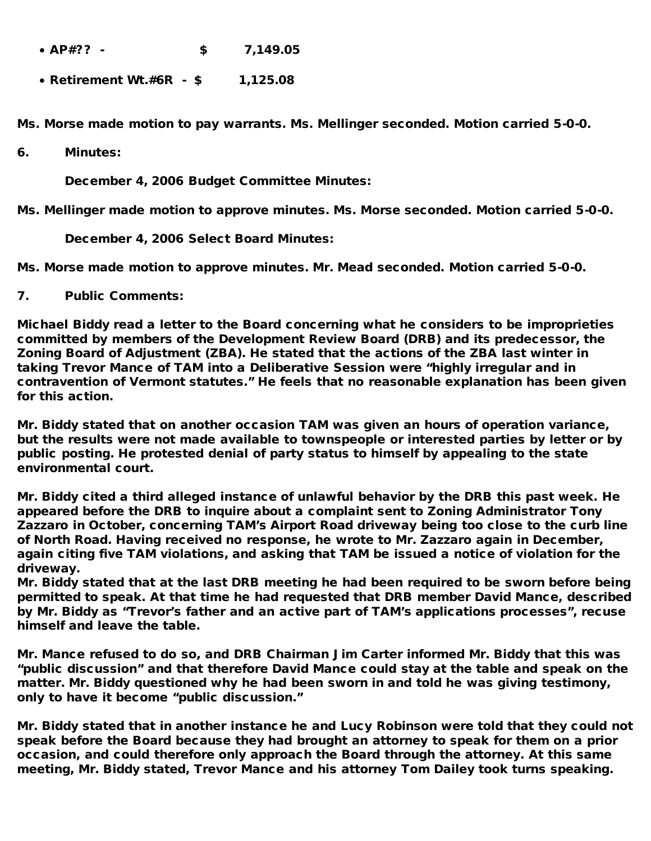- · AP#?? \$ 7,149.05
- · Retirement Wt.#6R \$ 1,125.08

Ms. Morse made motion to pay warrants. Ms. Mellinger seconded. Motion carried 5-0-0.

6. Minutes:

December 4, 2006 Budget Committee Minutes:

Ms. Mellinger made motion to approve minutes. Ms. Morse seconded. Motion carried 5-0-0.

December 4, 2006 Select Board Minutes:

Ms. Morse made motion to approve minutes. Mr. Mead seconded. Motion carried 5-0-0.

7. Public Comments:

Michael Biddy read a letter to the Board concerning what he considers to be improprieties committed by members of the Development Review Board (DRB) and its predecessor, the Zoning Board of Adjustment (ZBA). He stated that the actions of the ZBA last winter in taking Trevor Mance of TAM into a Deliberative Session were "highly irregular and in contravention of Vermont statutes." He feels that no reasonable explanation has been given for this action.

Mr. Biddy stated that on another occasion TAM was given an hours of operation variance, but the results were not made available to townspeople or interested parties by letter or by public posting. He protested denial of party status to himself by appealing to the state environmental court.

Mr. Biddy cited a third alleged instance of unlawful behavior by the DRB this past week. He appeared before the DRB to inquire about a complaint sent to Zoning Administrator Tony Zazzaro in October, concerning TAM's Airport Road driveway being too close to the curb line of North Road. Having received no response, he wrote to Mr. Zazzaro again in December, again citing five TAM violations, and asking that TAM be issued a notice of violation for the driveway.

Mr. Biddy stated that at the last DRB meeting he had been required to be sworn before being permitted to speak. At that time he had requested that DRB member David Mance, described by Mr. Biddy as "Trevor's father and an active part of TAM's applications processes", recuse himself and leave the table.

Mr. Mance refused to do so, and DRB Chairman Jim Carter informed Mr. Biddy that this was "public discussion" and that therefore David Mance could stay at the table and speak on the matter. Mr. Biddy questioned why he had been sworn in and told he was giving testimony, only to have it become "public discussion."

Mr. Biddy stated that in another instance he and Lucy Robinson were told that they could not speak before the Board because they had brought an attorney to speak for them on a prior occasion, and could therefore only approach the Board through the attorney. At this same meeting, Mr. Biddy stated, Trevor Mance and his attorney Tom Dailey took turns speaking.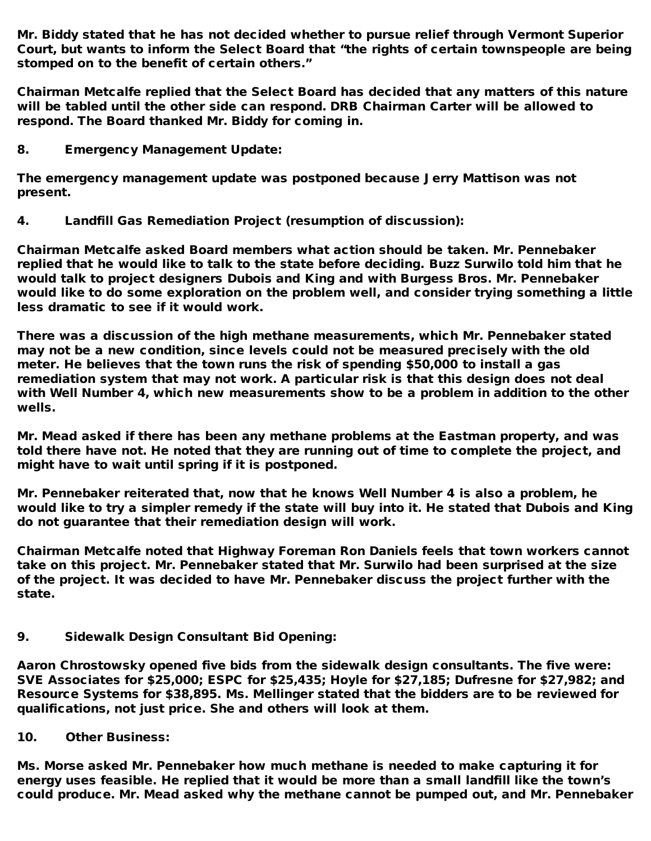Mr. Biddy stated that he has not decided whether to pursue relief through Vermont Superior Court, but wants to inform the Select Board that "the rights of certain townspeople are being stomped on to the benefit of certain others."

Chairman Metcalfe replied that the Select Board has decided that any matters of this nature will be tabled until the other side can respond. DRB Chairman Carter will be allowed to respond. The Board thanked Mr. Biddy for coming in.

8. Emergency Management Update:

The emergency management update was postponed because Jerry Mattison was not present.

4. Landfill Gas Remediation Project (resumption of discussion):

Chairman Metcalfe asked Board members what action should be taken. Mr. Pennebaker replied that he would like to talk to the state before deciding. Buzz Surwilo told him that he would talk to project designers Dubois and King and with Burgess Bros. Mr. Pennebaker would like to do some exploration on the problem well, and consider trying something a little less dramatic to see if it would work.

There was a discussion of the high methane measurements, which Mr. Pennebaker stated may not be a new condition, since levels could not be measured precisely with the old meter. He believes that the town runs the risk of spending \$50,000 to install a gas remediation system that may not work. A particular risk is that this design does not deal with Well Number 4, which new measurements show to be a problem in addition to the other wells.

Mr. Mead asked if there has been any methane problems at the Eastman property, and was told there have not. He noted that they are running out of time to complete the project, and might have to wait until spring if it is postponed.

Mr. Pennebaker reiterated that, now that he knows Well Number 4 is also a problem, he would like to try a simpler remedy if the state will buy into it. He stated that Dubois and King do not guarantee that their remediation design will work.

Chairman Metcalfe noted that Highway Foreman Ron Daniels feels that town workers cannot take on this project. Mr. Pennebaker stated that Mr. Surwilo had been surprised at the size of the project. It was decided to have Mr. Pennebaker discuss the project further with the state.

9. Sidewalk Design Consultant Bid Opening:

Aaron Chrostowsky opened five bids from the sidewalk design consultants. The five were: SVE Associates for \$25,000; ESPC for \$25,435; Hoyle for \$27,185; Dufresne for \$27,982; and Resource Systems for \$38,895. Ms. Mellinger stated that the bidders are to be reviewed for qualifications, not just price. She and others will look at them.

10. Other Business:

Ms. Morse asked Mr. Pennebaker how much methane is needed to make capturing it for energy uses feasible. He replied that it would be more than a small landfill like the town's could produce. Mr. Mead asked why the methane cannot be pumped out, and Mr. Pennebaker